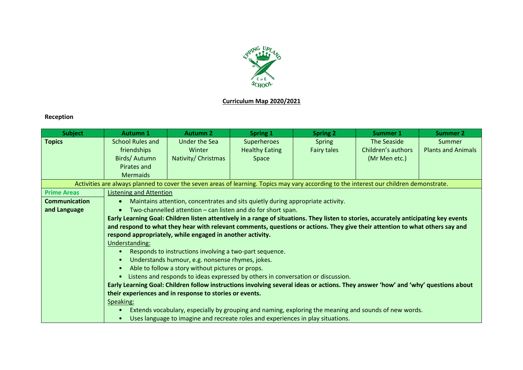

## **Curriculum Map 2020/2021**

## **Reception**

| <b>Subject</b>       | <b>Autumn 1</b>                                                                                                                         | <b>Autumn 2</b>                                                                 | <b>Spring 1</b>       | <b>Spring 2</b> | Summer 1                                                                                              | <b>Summer 2</b>           |
|----------------------|-----------------------------------------------------------------------------------------------------------------------------------------|---------------------------------------------------------------------------------|-----------------------|-----------------|-------------------------------------------------------------------------------------------------------|---------------------------|
| <b>Topics</b>        | <b>School Rules and</b>                                                                                                                 | <b>Under the Sea</b>                                                            | Superheroes           | <b>Spring</b>   | The Seaside                                                                                           | Summer                    |
|                      | friendships                                                                                                                             | Winter                                                                          | <b>Healthy Eating</b> | Fairy tales     | Children's authors                                                                                    | <b>Plants and Animals</b> |
|                      | Birds/Autumn                                                                                                                            | Nativity/ Christmas                                                             | Space                 |                 | (Mr Men etc.)                                                                                         |                           |
|                      | Pirates and                                                                                                                             |                                                                                 |                       |                 |                                                                                                       |                           |
|                      | <b>Mermaids</b>                                                                                                                         |                                                                                 |                       |                 |                                                                                                       |                           |
|                      | Activities are always planned to cover the seven areas of learning. Topics may vary according to the interest our children demonstrate. |                                                                                 |                       |                 |                                                                                                       |                           |
| <b>Prime Areas</b>   | <b>Listening and Attention</b>                                                                                                          |                                                                                 |                       |                 |                                                                                                       |                           |
| <b>Communication</b> | Maintains attention, concentrates and sits quietly during appropriate activity.<br>$\bullet$                                            |                                                                                 |                       |                 |                                                                                                       |                           |
| and Language         | Two-channelled attention - can listen and do for short span.<br>$\bullet$                                                               |                                                                                 |                       |                 |                                                                                                       |                           |
|                      | Early Learning Goal: Children listen attentively in a range of situations. They listen to stories, accurately anticipating key events   |                                                                                 |                       |                 |                                                                                                       |                           |
|                      | and respond to what they hear with relevant comments, questions or actions. They give their attention to what others say and            |                                                                                 |                       |                 |                                                                                                       |                           |
|                      | respond appropriately, while engaged in another activity.                                                                               |                                                                                 |                       |                 |                                                                                                       |                           |
|                      | Understanding:                                                                                                                          |                                                                                 |                       |                 |                                                                                                       |                           |
|                      | Responds to instructions involving a two-part sequence.                                                                                 |                                                                                 |                       |                 |                                                                                                       |                           |
|                      | Understands humour, e.g. nonsense rhymes, jokes.<br>$\bullet$                                                                           |                                                                                 |                       |                 |                                                                                                       |                           |
|                      | Able to follow a story without pictures or props.<br>$\bullet$                                                                          |                                                                                 |                       |                 |                                                                                                       |                           |
|                      | Listens and responds to ideas expressed by others in conversation or discussion.<br>$\bullet$                                           |                                                                                 |                       |                 |                                                                                                       |                           |
|                      | Early Learning Goal: Children follow instructions involving several ideas or actions. They answer 'how' and 'why' questions about       |                                                                                 |                       |                 |                                                                                                       |                           |
|                      | their experiences and in response to stories or events.                                                                                 |                                                                                 |                       |                 |                                                                                                       |                           |
|                      | Speaking:                                                                                                                               |                                                                                 |                       |                 |                                                                                                       |                           |
|                      | $\bullet$                                                                                                                               |                                                                                 |                       |                 | Extends vocabulary, especially by grouping and naming, exploring the meaning and sounds of new words. |                           |
|                      | $\bullet$                                                                                                                               | Uses language to imagine and recreate roles and experiences in play situations. |                       |                 |                                                                                                       |                           |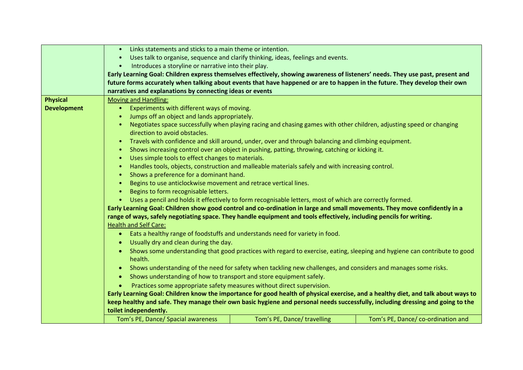|                    | Links statements and sticks to a main theme or intention.<br>$\bullet$                                                             |                                                                                                                           |                                   |  |
|--------------------|------------------------------------------------------------------------------------------------------------------------------------|---------------------------------------------------------------------------------------------------------------------------|-----------------------------------|--|
|                    | $\bullet$                                                                                                                          | Uses talk to organise, sequence and clarify thinking, ideas, feelings and events.                                         |                                   |  |
|                    | Introduces a storyline or narrative into their play.<br>$\bullet$                                                                  |                                                                                                                           |                                   |  |
|                    | Early Learning Goal: Children express themselves effectively, showing awareness of listeners' needs. They use past, present and    |                                                                                                                           |                                   |  |
|                    | future forms accurately when talking about events that have happened or are to happen in the future. They develop their own        |                                                                                                                           |                                   |  |
|                    | narratives and explanations by connecting ideas or events                                                                          |                                                                                                                           |                                   |  |
| <b>Physical</b>    | <b>Moving and Handling:</b>                                                                                                        |                                                                                                                           |                                   |  |
| <b>Development</b> | Experiments with different ways of moving.<br>$\bullet$                                                                            |                                                                                                                           |                                   |  |
|                    | Jumps off an object and lands appropriately.<br>$\bullet$                                                                          |                                                                                                                           |                                   |  |
|                    | $\bullet$                                                                                                                          | Negotiates space successfully when playing racing and chasing games with other children, adjusting speed or changing      |                                   |  |
|                    | direction to avoid obstacles.                                                                                                      |                                                                                                                           |                                   |  |
|                    | $\bullet$                                                                                                                          | Travels with confidence and skill around, under, over and through balancing and climbing equipment.                       |                                   |  |
|                    | $\bullet$                                                                                                                          | Shows increasing control over an object in pushing, patting, throwing, catching or kicking it.                            |                                   |  |
|                    | Uses simple tools to effect changes to materials.<br>$\bullet$                                                                     |                                                                                                                           |                                   |  |
|                    | $\bullet$                                                                                                                          | Handles tools, objects, construction and malleable materials safely and with increasing control.                          |                                   |  |
|                    | Shows a preference for a dominant hand.<br>$\bullet$                                                                               |                                                                                                                           |                                   |  |
|                    | Begins to use anticlockwise movement and retrace vertical lines.<br>$\bullet$                                                      |                                                                                                                           |                                   |  |
|                    | Begins to form recognisable letters.<br>$\bullet$                                                                                  |                                                                                                                           |                                   |  |
|                    | $\bullet$                                                                                                                          | Uses a pencil and holds it effectively to form recognisable letters, most of which are correctly formed.                  |                                   |  |
|                    | Early Learning Goal: Children show good control and co-ordination in large and small movements. They move confidently in a         |                                                                                                                           |                                   |  |
|                    | range of ways, safely negotiating space. They handle equipment and tools effectively, including pencils for writing.               |                                                                                                                           |                                   |  |
|                    | <b>Health and Self Care:</b>                                                                                                       |                                                                                                                           |                                   |  |
|                    | $\bullet$                                                                                                                          | Eats a healthy range of foodstuffs and understands need for variety in food.                                              |                                   |  |
|                    | Usually dry and clean during the day.<br>$\bullet$                                                                                 |                                                                                                                           |                                   |  |
|                    | $\bullet$                                                                                                                          | Shows some understanding that good practices with regard to exercise, eating, sleeping and hygiene can contribute to good |                                   |  |
|                    | health.                                                                                                                            |                                                                                                                           |                                   |  |
|                    | $\bullet$                                                                                                                          | Shows understanding of the need for safety when tackling new challenges, and considers and manages some risks.            |                                   |  |
|                    | Shows understanding of how to transport and store equipment safely.<br>$\bullet$                                                   |                                                                                                                           |                                   |  |
|                    | Practices some appropriate safety measures without direct supervision.<br>$\bullet$                                                |                                                                                                                           |                                   |  |
|                    | Early Learning Goal: Children know the importance for good health of physical exercise, and a healthy diet, and talk about ways to |                                                                                                                           |                                   |  |
|                    | keep healthy and safe. They manage their own basic hygiene and personal needs successfully, including dressing and going to the    |                                                                                                                           |                                   |  |
|                    | toilet independently.                                                                                                              |                                                                                                                           |                                   |  |
|                    | Tom's PE, Dance/ Spacial awareness                                                                                                 | Tom's PE, Dance/ travelling                                                                                               | Tom's PE, Dance/co-ordination and |  |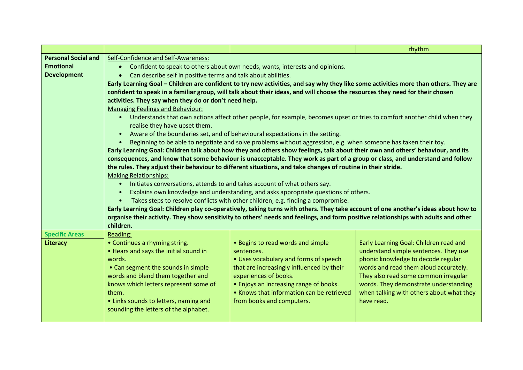|                            |                                                                                                                                                  |                                                                                                                                      | rhythm                                   |  |
|----------------------------|--------------------------------------------------------------------------------------------------------------------------------------------------|--------------------------------------------------------------------------------------------------------------------------------------|------------------------------------------|--|
| <b>Personal Social and</b> | Self-Confidence and Self-Awareness:                                                                                                              |                                                                                                                                      |                                          |  |
| <b>Emotional</b>           | Confident to speak to others about own needs, wants, interests and opinions.<br>$\bullet$                                                        |                                                                                                                                      |                                          |  |
| <b>Development</b>         | Can describe self in positive terms and talk about abilities.<br>$\bullet$                                                                       |                                                                                                                                      |                                          |  |
|                            |                                                                                                                                                  | Early Learning Goal – Children are confident to try new activities, and say why they like some activities more than others. They are |                                          |  |
|                            |                                                                                                                                                  | confident to speak in a familiar group, will talk about their ideas, and will choose the resources they need for their chosen        |                                          |  |
|                            | activities. They say when they do or don't need help.                                                                                            |                                                                                                                                      |                                          |  |
|                            | <b>Managing Feelings and Behaviour:</b>                                                                                                          |                                                                                                                                      |                                          |  |
|                            | • Understands that own actions affect other people, for example, becomes upset or tries to comfort another child when they                       |                                                                                                                                      |                                          |  |
|                            | realise they have upset them.                                                                                                                    |                                                                                                                                      |                                          |  |
|                            | Aware of the boundaries set, and of behavioural expectations in the setting.<br>$\bullet$                                                        |                                                                                                                                      |                                          |  |
|                            | Beginning to be able to negotiate and solve problems without aggression, e.g. when someone has taken their toy.                                  |                                                                                                                                      |                                          |  |
|                            | Early Learning Goal: Children talk about how they and others show feelings, talk about their own and others' behaviour, and its                  |                                                                                                                                      |                                          |  |
|                            | consequences, and know that some behaviour is unacceptable. They work as part of a group or class, and understand and follow                     |                                                                                                                                      |                                          |  |
|                            | the rules. They adjust their behaviour to different situations, and take changes of routine in their stride.                                     |                                                                                                                                      |                                          |  |
|                            | <b>Making Relationships:</b>                                                                                                                     |                                                                                                                                      |                                          |  |
|                            | Initiates conversations, attends to and takes account of what others say.<br>$\bullet$                                                           |                                                                                                                                      |                                          |  |
|                            | Explains own knowledge and understanding, and asks appropriate questions of others.                                                              |                                                                                                                                      |                                          |  |
|                            | Takes steps to resolve conflicts with other children, e.g. finding a compromise.                                                                 |                                                                                                                                      |                                          |  |
|                            | Early Learning Goal: Children play co-operatively, taking turns with others. They take account of one another's ideas about how to               |                                                                                                                                      |                                          |  |
|                            | organise their activity. They show sensitivity to others' needs and feelings, and form positive relationships with adults and other<br>children. |                                                                                                                                      |                                          |  |
| <b>Specific Areas</b>      | Reading:                                                                                                                                         |                                                                                                                                      |                                          |  |
| Literacy                   | • Continues a rhyming string.                                                                                                                    | • Begins to read words and simple                                                                                                    | Early Learning Goal: Children read and   |  |
|                            | • Hears and says the initial sound in                                                                                                            | sentences.                                                                                                                           | understand simple sentences. They use    |  |
|                            | words.                                                                                                                                           | • Uses vocabulary and forms of speech                                                                                                | phonic knowledge to decode regular       |  |
|                            | • Can segment the sounds in simple                                                                                                               | that are increasingly influenced by their                                                                                            | words and read them aloud accurately.    |  |
|                            | words and blend them together and                                                                                                                | experiences of books.                                                                                                                | They also read some common irregular     |  |
|                            | knows which letters represent some of                                                                                                            | • Enjoys an increasing range of books.                                                                                               | words. They demonstrate understanding    |  |
|                            | them.                                                                                                                                            | • Knows that information can be retrieved                                                                                            | when talking with others about what they |  |
|                            | • Links sounds to letters, naming and                                                                                                            | from books and computers.                                                                                                            | have read.                               |  |
|                            | sounding the letters of the alphabet.                                                                                                            |                                                                                                                                      |                                          |  |
|                            |                                                                                                                                                  |                                                                                                                                      |                                          |  |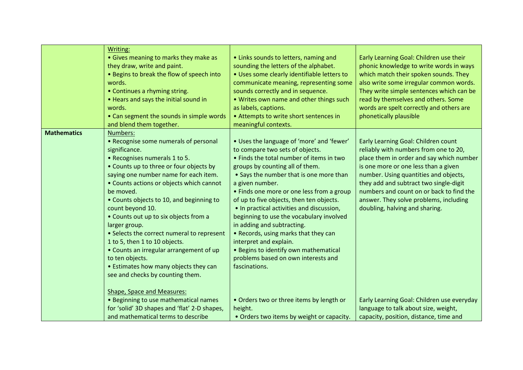|                    | Writing:<br>• Gives meaning to marks they make as<br>they draw, write and paint.<br>• Begins to break the flow of speech into<br>words.<br>• Continues a rhyming string.<br>• Hears and says the initial sound in<br>words.<br>• Can segment the sounds in simple words<br>and blend them together.                                                                                                                                                                                                                                                                                                                                                                                                                                                               | • Links sounds to letters, naming and<br>sounding the letters of the alphabet.<br>· Uses some clearly identifiable letters to<br>communicate meaning, representing some<br>sounds correctly and in sequence.<br>• Writes own name and other things such<br>as labels, captions.<br>• Attempts to write short sentences in<br>meaningful contexts.                                                                                                                                                                                                                                                                                                                                                                | Early Learning Goal: Children use their<br>phonic knowledge to write words in ways<br>which match their spoken sounds. They<br>also write some irregular common words.<br>They write simple sentences which can be<br>read by themselves and others. Some<br>words are spelt correctly and others are<br>phonetically plausible                                                                                                                                                                             |
|--------------------|-------------------------------------------------------------------------------------------------------------------------------------------------------------------------------------------------------------------------------------------------------------------------------------------------------------------------------------------------------------------------------------------------------------------------------------------------------------------------------------------------------------------------------------------------------------------------------------------------------------------------------------------------------------------------------------------------------------------------------------------------------------------|------------------------------------------------------------------------------------------------------------------------------------------------------------------------------------------------------------------------------------------------------------------------------------------------------------------------------------------------------------------------------------------------------------------------------------------------------------------------------------------------------------------------------------------------------------------------------------------------------------------------------------------------------------------------------------------------------------------|-------------------------------------------------------------------------------------------------------------------------------------------------------------------------------------------------------------------------------------------------------------------------------------------------------------------------------------------------------------------------------------------------------------------------------------------------------------------------------------------------------------|
| <b>Mathematics</b> | Numbers:<br>• Recognise some numerals of personal<br>significance.<br>• Recognises numerals 1 to 5.<br>• Counts up to three or four objects by<br>saying one number name for each item.<br>• Counts actions or objects which cannot<br>be moved.<br>• Counts objects to 10, and beginning to<br>count beyond 10.<br>• Counts out up to six objects from a<br>larger group.<br>• Selects the correct numeral to represent<br>1 to 5, then 1 to 10 objects.<br>• Counts an irregular arrangement of up<br>to ten objects.<br>• Estimates how many objects they can<br>see and checks by counting them.<br>Shape, Space and Measures:<br>• Beginning to use mathematical names<br>for 'solid' 3D shapes and 'flat' 2-D shapes,<br>and mathematical terms to describe | • Uses the language of 'more' and 'fewer'<br>to compare two sets of objects.<br>• Finds the total number of items in two<br>groups by counting all of them.<br>• Says the number that is one more than<br>a given number.<br>• Finds one more or one less from a group<br>of up to five objects, then ten objects.<br>• In practical activities and discussion,<br>beginning to use the vocabulary involved<br>in adding and subtracting.<br>• Records, using marks that they can<br>interpret and explain.<br>• Begins to identify own mathematical<br>problems based on own interests and<br>fascinations.<br>. Orders two or three items by length or<br>height.<br>• Orders two items by weight or capacity. | Early Learning Goal: Children count<br>reliably with numbers from one to 20,<br>place them in order and say which number<br>is one more or one less than a given<br>number. Using quantities and objects,<br>they add and subtract two single-digit<br>numbers and count on or back to find the<br>answer. They solve problems, including<br>doubling, halving and sharing.<br>Early Learning Goal: Children use everyday<br>language to talk about size, weight,<br>capacity, position, distance, time and |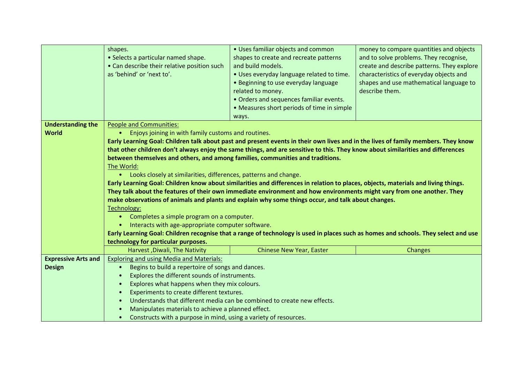|                            | shapes.                                                                                                                             | • Uses familiar objects and common                                                                                                | money to compare quantities and objects    |  |
|----------------------------|-------------------------------------------------------------------------------------------------------------------------------------|-----------------------------------------------------------------------------------------------------------------------------------|--------------------------------------------|--|
|                            | • Selects a particular named shape.                                                                                                 | shapes to create and recreate patterns                                                                                            | and to solve problems. They recognise,     |  |
|                            | • Can describe their relative position such                                                                                         | and build models.                                                                                                                 | create and describe patterns. They explore |  |
|                            | as 'behind' or 'next to'.                                                                                                           | . Uses everyday language related to time.                                                                                         | characteristics of everyday objects and    |  |
|                            |                                                                                                                                     | • Beginning to use everyday language                                                                                              | shapes and use mathematical language to    |  |
|                            |                                                                                                                                     | related to money.                                                                                                                 | describe them.                             |  |
|                            |                                                                                                                                     | • Orders and sequences familiar events.                                                                                           |                                            |  |
|                            |                                                                                                                                     | • Measures short periods of time in simple                                                                                        |                                            |  |
|                            |                                                                                                                                     | ways.                                                                                                                             |                                            |  |
| <b>Understanding the</b>   | <b>People and Communities:</b>                                                                                                      |                                                                                                                                   |                                            |  |
| <b>World</b>               | Enjoys joining in with family customs and routines.<br>$\bullet$                                                                    |                                                                                                                                   |                                            |  |
|                            |                                                                                                                                     | Early Learning Goal: Children talk about past and present events in their own lives and in the lives of family members. They know |                                            |  |
|                            | that other children don't always enjoy the same things, and are sensitive to this. They know about similarities and differences     |                                                                                                                                   |                                            |  |
|                            | between themselves and others, and among families, communities and traditions.                                                      |                                                                                                                                   |                                            |  |
|                            | The World:                                                                                                                          |                                                                                                                                   |                                            |  |
|                            | • Looks closely at similarities, differences, patterns and change.                                                                  |                                                                                                                                   |                                            |  |
|                            | Early Learning Goal: Children know about similarities and differences in relation to places, objects, materials and living things.  |                                                                                                                                   |                                            |  |
|                            | They talk about the features of their own immediate environment and how environments might vary from one another. They              |                                                                                                                                   |                                            |  |
|                            | make observations of animals and plants and explain why some things occur, and talk about changes.                                  |                                                                                                                                   |                                            |  |
|                            | Technology:                                                                                                                         |                                                                                                                                   |                                            |  |
|                            | Completes a simple program on a computer.<br>$\bullet$                                                                              |                                                                                                                                   |                                            |  |
|                            | Interacts with age-appropriate computer software.<br>$\bullet$                                                                      |                                                                                                                                   |                                            |  |
|                            | Early Learning Goal: Children recognise that a range of technology is used in places such as homes and schools. They select and use |                                                                                                                                   |                                            |  |
|                            | technology for particular purposes.                                                                                                 |                                                                                                                                   |                                            |  |
|                            | Harvest, Diwali, The Nativity                                                                                                       | <b>Chinese New Year, Easter</b>                                                                                                   | <b>Changes</b>                             |  |
| <b>Expressive Arts and</b> | <b>Exploring and using Media and Materials:</b>                                                                                     |                                                                                                                                   |                                            |  |
| <b>Design</b>              | Begins to build a repertoire of songs and dances.<br>$\bullet$                                                                      |                                                                                                                                   |                                            |  |
|                            | Explores the different sounds of instruments.<br>$\bullet$                                                                          |                                                                                                                                   |                                            |  |
|                            | Explores what happens when they mix colours.<br>$\bullet$                                                                           |                                                                                                                                   |                                            |  |
|                            | Experiments to create different textures.<br>$\bullet$                                                                              |                                                                                                                                   |                                            |  |
|                            | $\bullet$                                                                                                                           | Understands that different media can be combined to create new effects.                                                           |                                            |  |
|                            | Manipulates materials to achieve a planned effect.<br>$\bullet$                                                                     |                                                                                                                                   |                                            |  |
|                            | Constructs with a purpose in mind, using a variety of resources.<br>$\bullet$                                                       |                                                                                                                                   |                                            |  |